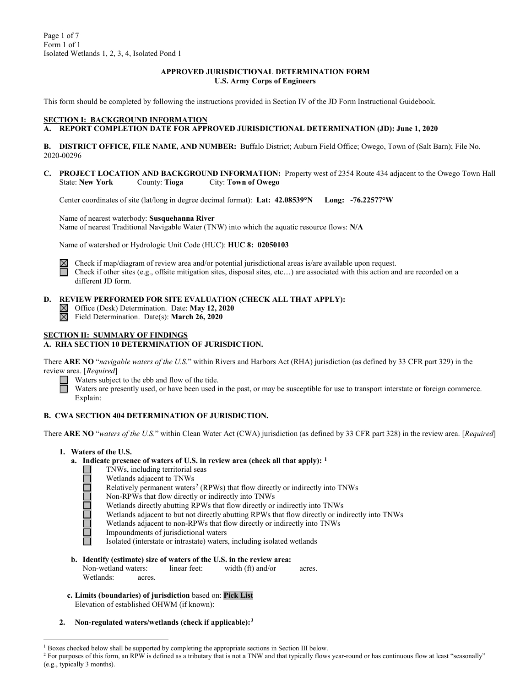#### **APPROVED JURISDICTIONAL DETERMINATION FORM U.S. Army Corps of Engineers**

This form should be completed by following the instructions provided in Section IV of the JD Form Instructional Guidebook.

### **SECTION I: BACKGROUND INFORMATION**

## **A. REPORT COMPLETION DATE FOR APPROVED JURISDICTIONAL DETERMINATION (JD): June 1, 2020**

**B. DISTRICT OFFICE, FILE NAME, AND NUMBER:** Buffalo District; Auburn Field Office; Owego, Town of (Salt Barn); File No. 2020-00296

**C. PROJECT LOCATION AND BACKGROUND INFORMATION:** Property west of 2354 Route 434 adjacent to the Owego Town Hall State: **New York** County: **Tioga** City: **Town of Owego**

Center coordinates of site (lat/long in degree decimal format): **Lat: 42.08539°N Long: -76.22577°W**

Name of nearest waterbody: **Susquehanna River** Name of nearest Traditional Navigable Water (TNW) into which the aquatic resource flows: **N/A**

Name of watershed or Hydrologic Unit Code (HUC): **HUC 8: 02050103**



Check if map/diagram of review area and/or potential jurisdictional areas is/are available upon request. Check if other sites (e.g., offsite mitigation sites, disposal sites, etc…) are associated with this action and are recorded on a different JD form.

## **D. REVIEW PERFORMED FOR SITE EVALUATION (CHECK ALL THAT APPLY):**

- Office (Desk) Determination. Date: **May 12, 2020**
- $\overline{\boxtimes}$ Field Determination. Date(s): **March 26, 2020**

### **SECTION II: SUMMARY OF FINDINGS**

#### **A. RHA SECTION 10 DETERMINATION OF JURISDICTION.**

There **ARE NO** "*navigable waters of the U.S.*" within Rivers and Harbors Act (RHA) jurisdiction (as defined by 33 CFR part 329) in the review area. [*Required*]

Waters subject to the ebb and flow of the tide.

Waters are presently used, or have been used in the past, or may be susceptible for use to transport interstate or foreign commerce. Explain:

#### **B. CWA SECTION 404 DETERMINATION OF JURISDICTION.**

There **ARE NO** "*waters of the U.S.*" within Clean Water Act (CWA) jurisdiction (as defined by 33 CFR part 328) in the review area. [*Required*]

**1. Waters of the U.S.**

ala la la la la la

- **a. Indicate presence of waters of U.S. in review area (check all that apply): [1](#page-0-0)**
	- TNWs, including territorial seas
		- Wetlands adjacent to TNWs
	- Relatively permanent waters<sup>[2](#page-0-1)</sup> (RPWs) that flow directly or indirectly into TNWs
	- Non-RPWs that flow directly or indirectly into TNWs
	- Wetlands directly abutting RPWs that flow directly or indirectly into TNWs
	- Wetlands adjacent to but not directly abutting RPWs that flow directly or indirectly into TNWs
	- Wetlands adjacent to non-RPWs that flow directly or indirectly into TNWs
	- Impoundments of jurisdictional waters
	- Isolated (interstate or intrastate) waters, including isolated wetlands
- **b. Identify (estimate) size of waters of the U.S. in the review area:** Non-wetland waters: linear feet: width (ft) and/or acres. Wetlands: acres.
- **c. Limits (boundaries) of jurisdiction** based on: **Pick List** Elevation of established OHWM (if known):
- **2. Non-regulated waters/wetlands (check if applicable):[3](#page-0-2)**

<span id="page-0-2"></span><span id="page-0-0"></span><sup>&</sup>lt;sup>1</sup> Boxes checked below shall be supported by completing the appropriate sections in Section III below.

<span id="page-0-1"></span><sup>&</sup>lt;sup>2</sup> For purposes of this form, an RPW is defined as a tributary that is not a TNW and that typically flows year-round or has continuous flow at least "seasonally" (e.g., typically 3 months).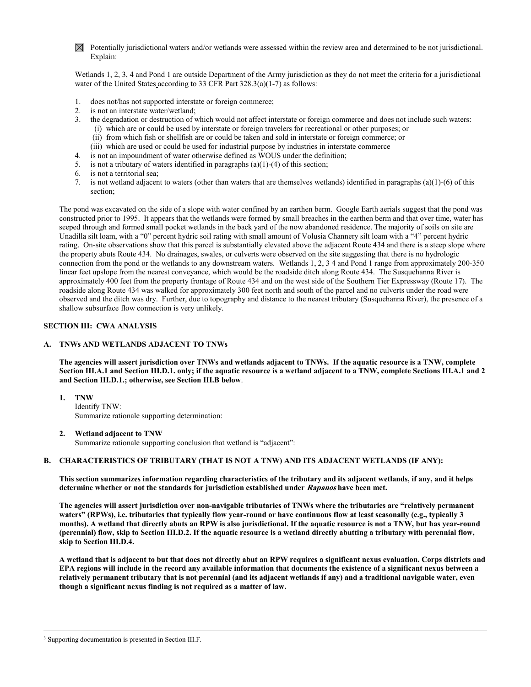$\boxtimes$  Potentially jurisdictional waters and/or wetlands were assessed within the review area and determined to be not jurisdictional. Explain:

Wetlands 1, 2, 3, 4 and Pond 1 are outside Department of the Army jurisdiction as they do not meet the criteria for a jurisdictional water of the United States according to 33 CFR Part 328.3(a)(1-7) as follows:

- 1. does not/has not supported interstate or foreign commerce;
- 2. is not an interstate water/wetland;
- 3. the degradation or destruction of which would not affect interstate or foreign commerce and does not include such waters:
	- (i) which are or could be used by interstate or foreign travelers for recreational or other purposes; or
	- (ii) from which fish or shellfish are or could be taken and sold in interstate or foreign commerce; or
	- (iii) which are used or could be used for industrial purpose by industries in interstate commerce
- 4. is not an impoundment of water otherwise defined as WOUS under the definition;
- 5. is not a tributary of waters identified in paragraphs (a)(1)-(4) of this section;
- 6. is not a territorial sea;
- 7. is not wetland adjacent to waters (other than waters that are themselves wetlands) identified in paragraphs (a)(1)-(6) of this section;

The pond was excavated on the side of a slope with water confined by an earthen berm. Google Earth aerials suggest that the pond was constructed prior to 1995. It appears that the wetlands were formed by small breaches in the earthen berm and that over time, water has seeped through and formed small pocket wetlands in the back yard of the now abandoned residence. The majority of soils on site are Unadilla silt loam, with a "0" percent hydric soil rating with small amount of Volusia Channery silt loam with a "4" percent hydric rating. On-site observations show that this parcel is substantially elevated above the adjacent Route 434 and there is a steep slope where the property abuts Route 434. No drainages, swales, or culverts were observed on the site suggesting that there is no hydrologic connection from the pond or the wetlands to any downstream waters. Wetlands 1, 2, 3 4 and Pond 1 range from approximately 200-350 linear feet upslope from the nearest conveyance, which would be the roadside ditch along Route 434. The Susquehanna River is approximately 400 feet from the property frontage of Route 434 and on the west side of the Southern Tier Expressway (Route 17). The roadside along Route 434 was walked for approximately 300 feet north and south of the parcel and no culverts under the road were observed and the ditch was dry. Further, due to topography and distance to the nearest tributary (Susquehanna River), the presence of a shallow subsurface flow connection is very unlikely.

### **SECTION III: CWA ANALYSIS**

#### **A. TNWs AND WETLANDS ADJACENT TO TNWs**

**The agencies will assert jurisdiction over TNWs and wetlands adjacent to TNWs. If the aquatic resource is a TNW, complete Section III.A.1 and Section III.D.1. only; if the aquatic resource is a wetland adjacent to a TNW, complete Sections III.A.1 and 2 and Section III.D.1.; otherwise, see Section III.B below**.

### **1. TNW**

Identify TNW: Summarize rationale supporting determination:

#### **2. Wetland adjacent to TNW**

Summarize rationale supporting conclusion that wetland is "adjacent":

## **B. CHARACTERISTICS OF TRIBUTARY (THAT IS NOT A TNW) AND ITS ADJACENT WETLANDS (IF ANY):**

**This section summarizes information regarding characteristics of the tributary and its adjacent wetlands, if any, and it helps determine whether or not the standards for jurisdiction established under Rapanos have been met.** 

**The agencies will assert jurisdiction over non-navigable tributaries of TNWs where the tributaries are "relatively permanent waters" (RPWs), i.e. tributaries that typically flow year-round or have continuous flow at least seasonally (e.g., typically 3 months). A wetland that directly abuts an RPW is also jurisdictional. If the aquatic resource is not a TNW, but has year-round (perennial) flow, skip to Section III.D.2. If the aquatic resource is a wetland directly abutting a tributary with perennial flow, skip to Section III.D.4.**

**A wetland that is adjacent to but that does not directly abut an RPW requires a significant nexus evaluation. Corps districts and EPA regions will include in the record any available information that documents the existence of a significant nexus between a relatively permanent tributary that is not perennial (and its adjacent wetlands if any) and a traditional navigable water, even though a significant nexus finding is not required as a matter of law.**

<sup>&</sup>lt;sup>3</sup> Supporting documentation is presented in Section III.F.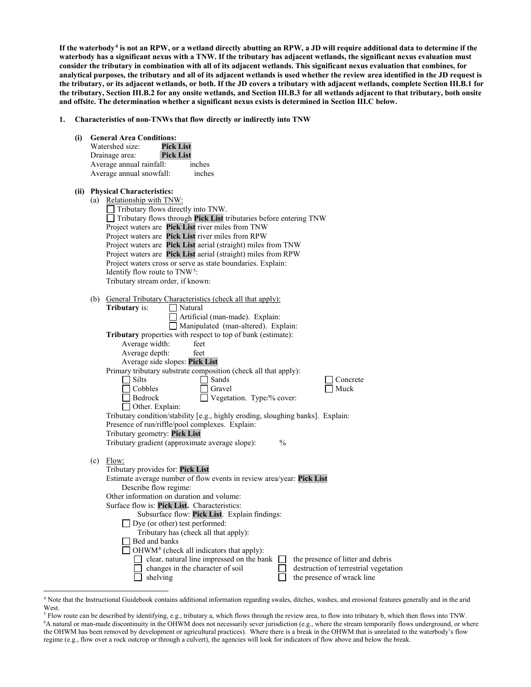**If the waterbody[4](#page-2-0) is not an RPW, or a wetland directly abutting an RPW, a JD will require additional data to determine if the waterbody has a significant nexus with a TNW. If the tributary has adjacent wetlands, the significant nexus evaluation must consider the tributary in combination with all of its adjacent wetlands. This significant nexus evaluation that combines, for analytical purposes, the tributary and all of its adjacent wetlands is used whether the review area identified in the JD request is the tributary, or its adjacent wetlands, or both. If the JD covers a tributary with adjacent wetlands, complete Section III.B.1 for the tributary, Section III.B.2 for any onsite wetlands, and Section III.B.3 for all wetlands adjacent to that tributary, both onsite and offsite. The determination whether a significant nexus exists is determined in Section III.C below.**

- **1. Characteristics of non-TNWs that flow directly or indirectly into TNW**
	- **(i) General Area Conditions:** Watershed size: **Pick List** Drainage area: **Pick List** Average annual rainfall: inches Average annual snowfall: inches **(ii) Physical Characteristics:** (a) Relationship with TNW: Tributary flows directly into TNW. Tributary flows through **Pick List** tributaries before entering TNW Project waters are **Pick List** river miles from TNW Project waters are **Pick List** river miles from RPW Project waters are **Pick List** aerial (straight) miles from TNW Project waters are **Pick List** aerial (straight) miles from RPW Project waters cross or serve as state boundaries. Explain: Identify flow route to TNW[5:](#page-2-1) Tributary stream order, if known: (b) General Tributary Characteristics (check all that apply):<br>
	Tributary is:  $\Box$  Natural **Tributary** is: Artificial (man-made). Explain: Manipulated (man-altered). Explain: **Tributary** properties with respect to top of bank (estimate): Average width: feet Average depth: feet Average side slopes: **Pick List** Primary tributary substrate composition (check all that apply): Silts Silts Sands Concrete Cobbles Gravel Gravel Muck<br>
	Bedrock Uegetation. Type/% cover: Vegetation. Type/% cover: Other. Explain: Tributary condition/stability [e.g., highly eroding, sloughing banks]. Explain: Presence of run/riffle/pool complexes. Explain: Tributary geometry: **Pick List** Tributary gradient (approximate average slope): %  $(c)$  Flow: Tributary provides for: **Pick List** Estimate average number of flow events in review area/year: **Pick List** Describe flow regime: Other information on duration and volume: Surface flow is: **Pick List.** Characteristics: Subsurface flow: **Pick List**. Explain findings: Dye (or other) test performed: Tributary has (check all that apply):  $\Box$  Bed and banks  $\Box$  OHWM<sup>[6](#page-2-2)</sup> (check all indicators that apply):  $\Box$  clear, natural line impressed on the bank  $\Box$  the presence of litter and debris changes in the character of soil  $\Box$  destruction of terrestrial vegetation shelving the presence of wrack line  $\Box$  shelving the presence of wrack line

<span id="page-2-0"></span> <sup>4</sup> Note that the Instructional Guidebook contains additional information regarding swales, ditches, washes, and erosional features generally and in the arid West.

<span id="page-2-2"></span><span id="page-2-1"></span><sup>5</sup> Flow route can be described by identifying, e.g., tributary a, which flows through the review area, to flow into tributary b, which then flows into TNW. 6 A natural or man-made discontinuity in the OHWM does not necessarily sever jurisdiction (e.g., where the stream temporarily flows underground, or where the OHWM has been removed by development or agricultural practices). Where there is a break in the OHWM that is unrelated to the waterbody's flow regime (e.g., flow over a rock outcrop or through a culvert), the agencies will look for indicators of flow above and below the break.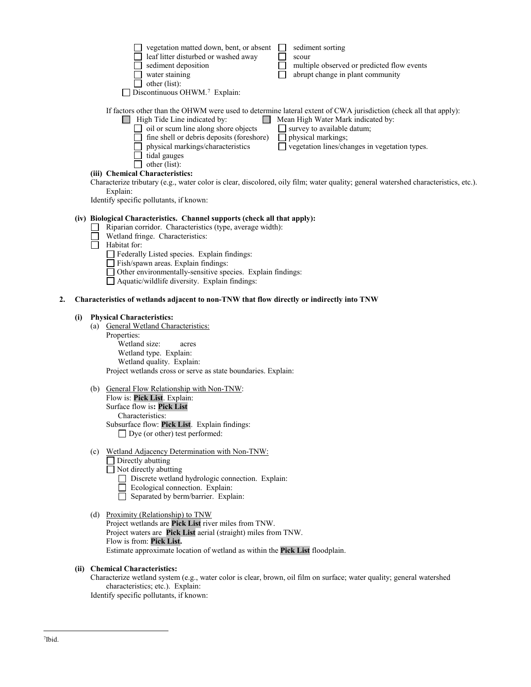|                                                                                                                                     | vegetation matted down, bent, or absent                                                                          |  | sediment sorting                              |  |  |
|-------------------------------------------------------------------------------------------------------------------------------------|------------------------------------------------------------------------------------------------------------------|--|-----------------------------------------------|--|--|
|                                                                                                                                     | leaf litter disturbed or washed away                                                                             |  | scour                                         |  |  |
|                                                                                                                                     | sediment deposition                                                                                              |  | multiple observed or predicted flow events    |  |  |
|                                                                                                                                     | water staining                                                                                                   |  | abrupt change in plant community              |  |  |
|                                                                                                                                     | other (list):                                                                                                    |  |                                               |  |  |
|                                                                                                                                     | Discontinuous OHWM. <sup>7</sup> Explain:                                                                        |  |                                               |  |  |
|                                                                                                                                     |                                                                                                                  |  |                                               |  |  |
|                                                                                                                                     | If factors other than the OHWM were used to determine lateral extent of CWA jurisdiction (check all that apply): |  |                                               |  |  |
|                                                                                                                                     | High Tide Line indicated by:                                                                                     |  | Mean High Water Mark indicated by:            |  |  |
|                                                                                                                                     | oil or scum line along shore objects                                                                             |  | survey to available datum;                    |  |  |
|                                                                                                                                     | fine shell or debris deposits (foreshore)                                                                        |  | physical markings;                            |  |  |
|                                                                                                                                     | physical markings/characteristics                                                                                |  | vegetation lines/changes in vegetation types. |  |  |
|                                                                                                                                     | tidal gauges                                                                                                     |  |                                               |  |  |
|                                                                                                                                     | other (list):                                                                                                    |  |                                               |  |  |
|                                                                                                                                     | (iii) Chemical Characteristics:                                                                                  |  |                                               |  |  |
| Characterize tributary (e.g., water color is clear, discolored, oily film; water quality; general watershed characteristics, etc.). |                                                                                                                  |  |                                               |  |  |
|                                                                                                                                     | Explain:                                                                                                         |  |                                               |  |  |
|                                                                                                                                     | Identify specific pollutants, if known:                                                                          |  |                                               |  |  |
|                                                                                                                                     |                                                                                                                  |  |                                               |  |  |
|                                                                                                                                     | (iv) Biological Characteristics. Channel supports (check all that apply):                                        |  |                                               |  |  |
|                                                                                                                                     |                                                                                                                  |  |                                               |  |  |

- П Riparian corridor. Characteristics (type, average width):
- $\Box$ Wetland fringe. Characteristics:

П Habitat for:

- Federally Listed species. Explain findings:
- Fish/spawn areas. Explain findings:
- Other environmentally-sensitive species. Explain findings:
- Aquatic/wildlife diversity. Explain findings:

#### **2. Characteristics of wetlands adjacent to non-TNW that flow directly or indirectly into TNW**

#### **(i) Physical Characteristics:**

(a) General Wetland Characteristics: Properties: Wetland size: acres Wetland type. Explain:

Wetland quality. Explain: Project wetlands cross or serve as state boundaries. Explain:

- (b) General Flow Relationship with Non-TNW: Flow is: **Pick List**. Explain: Surface flow is**: Pick List**  Characteristics: Subsurface flow: **Pick List**. Explain findings: □ Dye (or other) test performed:
- (c) Wetland Adjacency Determination with Non-TNW:
	- $\Box$  Directly abutting
	- $\Box$  Not directly abutting
		- Discrete wetland hydrologic connection. Explain:
		- Ecological connection. Explain:
		- Separated by berm/barrier. Explain:
- (d) Proximity (Relationship) to TNW
	- Project wetlands are **Pick List** river miles from TNW. Project waters are **Pick List** aerial (straight) miles from TNW. Flow is from: **Pick List.** Estimate approximate location of wetland as within the **Pick List** floodplain.

## **(ii) Chemical Characteristics:**

Characterize wetland system (e.g., water color is clear, brown, oil film on surface; water quality; general watershed characteristics; etc.). Explain:

<span id="page-3-0"></span>Identify specific pollutants, if known: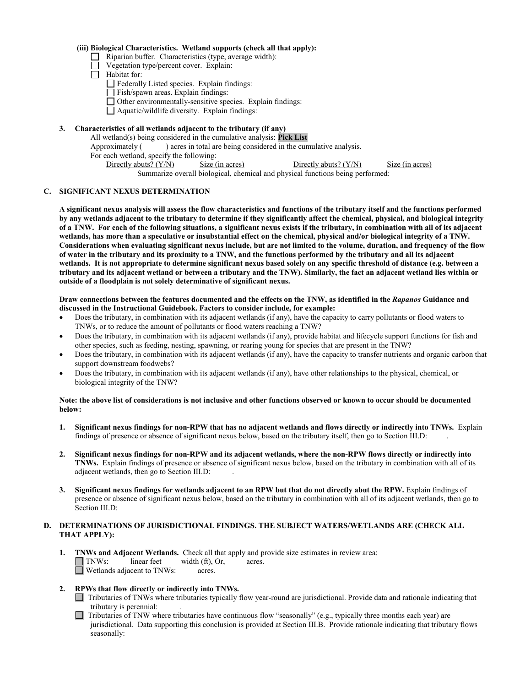#### **(iii) Biological Characteristics. Wetland supports (check all that apply):**

- Riparian buffer. Characteristics (type, average width):
- Vegetation type/percent cover. Explain:
- $\Box$  Habitat for:
	- Federally Listed species. Explain findings:
	- Fish/spawn areas. Explain findings:
	- Other environmentally-sensitive species. Explain findings:
	- Aquatic/wildlife diversity. Explain findings:

### **3. Characteristics of all wetlands adjacent to the tributary (if any)**

All wetland(s) being considered in the cumulative analysis: **Pick List** Approximately ( ) acres in total are being considered in the cumulative analysis. For each wetland, specify the following: Directly abuts? (Y/N) Size (in acres) Directly abuts? (Y/N) Size (in acres) Summarize overall biological, chemical and physical functions being performed:

#### **C. SIGNIFICANT NEXUS DETERMINATION**

**A significant nexus analysis will assess the flow characteristics and functions of the tributary itself and the functions performed by any wetlands adjacent to the tributary to determine if they significantly affect the chemical, physical, and biological integrity of a TNW. For each of the following situations, a significant nexus exists if the tributary, in combination with all of its adjacent wetlands, has more than a speculative or insubstantial effect on the chemical, physical and/or biological integrity of a TNW. Considerations when evaluating significant nexus include, but are not limited to the volume, duration, and frequency of the flow of water in the tributary and its proximity to a TNW, and the functions performed by the tributary and all its adjacent wetlands. It is not appropriate to determine significant nexus based solely on any specific threshold of distance (e.g. between a tributary and its adjacent wetland or between a tributary and the TNW). Similarly, the fact an adjacent wetland lies within or outside of a floodplain is not solely determinative of significant nexus.** 

#### **Draw connections between the features documented and the effects on the TNW, as identified in the** *Rapanos* **Guidance and discussed in the Instructional Guidebook. Factors to consider include, for example:**

- Does the tributary, in combination with its adjacent wetlands (if any), have the capacity to carry pollutants or flood waters to TNWs, or to reduce the amount of pollutants or flood waters reaching a TNW?
- Does the tributary, in combination with its adjacent wetlands (if any), provide habitat and lifecycle support functions for fish and other species, such as feeding, nesting, spawning, or rearing young for species that are present in the TNW?
- Does the tributary, in combination with its adjacent wetlands (if any), have the capacity to transfer nutrients and organic carbon that support downstream foodwebs?
- Does the tributary, in combination with its adjacent wetlands (if any), have other relationships to the physical, chemical, or biological integrity of the TNW?

#### **Note: the above list of considerations is not inclusive and other functions observed or known to occur should be documented below:**

- **1. Significant nexus findings for non-RPW that has no adjacent wetlands and flows directly or indirectly into TNWs.** Explain findings of presence or absence of significant nexus below, based on the tributary itself, then go to Section III.D: .
- **2. Significant nexus findings for non-RPW and its adjacent wetlands, where the non-RPW flows directly or indirectly into TNWs.** Explain findings of presence or absence of significant nexus below, based on the tributary in combination with all of its adjacent wetlands, then go to Section III.D: .
- **3. Significant nexus findings for wetlands adjacent to an RPW but that do not directly abut the RPW.** Explain findings of presence or absence of significant nexus below, based on the tributary in combination with all of its adjacent wetlands, then go to Section III.D:

### **D. DETERMINATIONS OF JURISDICTIONAL FINDINGS. THE SUBJECT WATERS/WETLANDS ARE (CHECK ALL THAT APPLY):**

- **1. TNWs and Adjacent Wetlands.** Check all that apply and provide size estimates in review area: TNWs: linear feet width (ft), Or, acres. Wetlands adjacent to TNWs: acres.
- **2. RPWs that flow directly or indirectly into TNWs.**
	- Tributaries of TNWs where tributaries typically flow year-round are jurisdictional. Provide data and rationale indicating that tributary is perennial: .
	- $\Box$  Tributaries of TNW where tributaries have continuous flow "seasonally" (e.g., typically three months each year) are jurisdictional. Data supporting this conclusion is provided at Section III.B. Provide rationale indicating that tributary flows seasonally: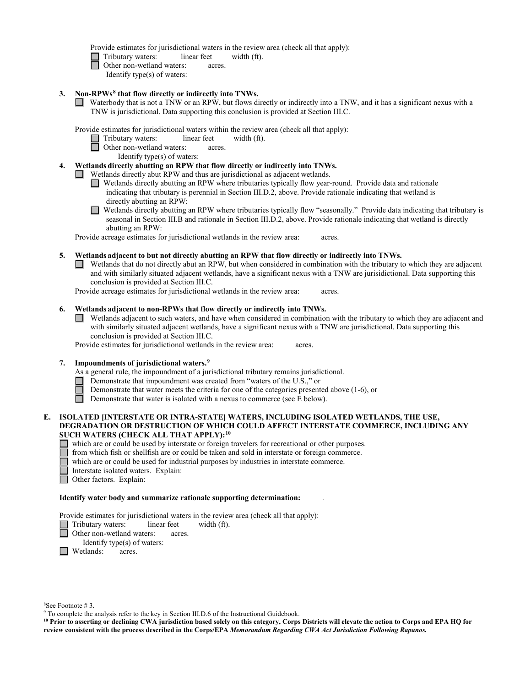Provide estimates for jurisdictional waters in the review area (check all that apply):

- Tributary waters: linear feet width (ft).
- **d** Other non-wetland waters: acres.
	- Identify type(s) of waters:
- **3. Non-RPWs[8](#page-5-0) that flow directly or indirectly into TNWs.**
	- Waterbody that is not a TNW or an RPW, but flows directly or indirectly into a TNW, and it has a significant nexus with a TNW is jurisdictional. Data supporting this conclusion is provided at Section III.C.

Provide estimates for jurisdictional waters within the review area (check all that apply):

- Tributary waters: linear feet width (ft).
- Other non-wetland waters: acres.
	- Identify type(s) of waters:

### **4. Wetlands directly abutting an RPW that flow directly or indirectly into TNWs.**

Wetlands directly abut RPW and thus are jurisdictional as adjacent wetlands.

- Wetlands directly abutting an RPW where tributaries typically flow year-round. Provide data and rationale indicating that tributary is perennial in Section III.D.2, above. Provide rationale indicating that wetland is directly abutting an RPW:
- Wetlands directly abutting an RPW where tributaries typically flow "seasonally." Provide data indicating that tributary is seasonal in Section III.B and rationale in Section III.D.2, above. Provide rationale indicating that wetland is directly abutting an RPW:

Provide acreage estimates for jurisdictional wetlands in the review area: acres.

- **5. Wetlands adjacent to but not directly abutting an RPW that flow directly or indirectly into TNWs.**
	- Wetlands that do not directly abut an RPW, but when considered in combination with the tributary to which they are adjacent and with similarly situated adjacent wetlands, have a significant nexus with a TNW are jurisidictional. Data supporting this conclusion is provided at Section III.C.

Provide acreage estimates for jurisdictional wetlands in the review area: acres.

### **6. Wetlands adjacent to non-RPWs that flow directly or indirectly into TNWs.**

Wetlands adjacent to such waters, and have when considered in combination with the tributary to which they are adjacent and with similarly situated adjacent wetlands, have a significant nexus with a TNW are jurisdictional. Data supporting this conclusion is provided at Section III.C.

Provide estimates for jurisdictional wetlands in the review area: acres.

### **7. Impoundments of jurisdictional waters. [9](#page-5-1)**

- As a general rule, the impoundment of a jurisdictional tributary remains jurisdictional.
- Demonstrate that impoundment was created from "waters of the U.S.," or
- Demonstrate that water meets the criteria for one of the categories presented above (1-6), or
- $\Box$ Demonstrate that water is isolated with a nexus to commerce (see E below).

#### **E. ISOLATED [INTERSTATE OR INTRA-STATE] WATERS, INCLUDING ISOLATED WETLANDS, THE USE, DEGRADATION OR DESTRUCTION OF WHICH COULD AFFECT INTERSTATE COMMERCE, INCLUDING ANY SUCH WATERS (CHECK ALL THAT APPLY):[10](#page-5-2)**

- which are or could be used by interstate or foreign travelers for recreational or other purposes.
- from which fish or shellfish are or could be taken and sold in interstate or foreign commerce.
- which are or could be used for industrial purposes by industries in interstate commerce.
- Interstate isolated waters. Explain:<br>
Other factors. Explain:
	- Other factors.Explain:

#### **Identify water body and summarize rationale supporting determination:** .

Provide estimates for jurisdictional waters in the review area (check all that apply):

- Tributary waters: linear feet width (ft).
- Other non-wetland waters: acres.
- Identify type(s) of waters:
- Wetlands: acres.

 $\frac{1}{8}$ 

<span id="page-5-1"></span><span id="page-5-0"></span><sup>&</sup>lt;sup>8</sup>See Footnote # 3. 9  $\degree$  3. 9 To complete the analysis refer to the key in Section III.D.6 of the Instructional Guidebook.

<span id="page-5-2"></span>**<sup>10</sup> Prior to asserting or declining CWA jurisdiction based solely on this category, Corps Districts will elevate the action to Corps and EPA HQ for review consistent with the process described in the Corps/EPA** *Memorandum Regarding CWA Act Jurisdiction Following Rapanos.*